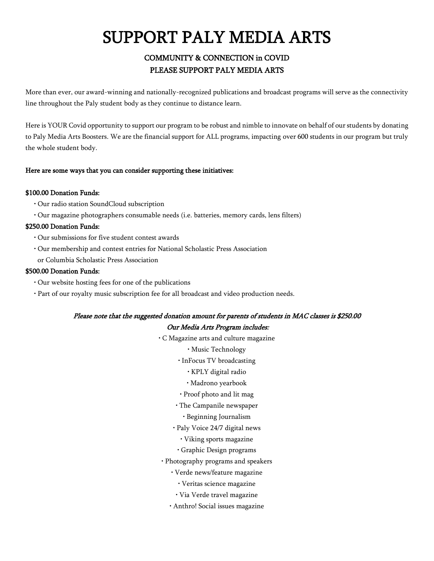# SUPPORT PALY MEDIA ARTS

## COMMUNITY & CONNECTION in COVID PLEASE SUPPORT PALY MEDIA ARTS

More than ever, our award-winning and nationally-recognized publications and broadcast programs will serve as the connectivity line throughout the Paly student body as they continue to distance learn.

Here is YOUR Covid opportunity to support our program to be robust and nimble to innovate on behalf of our students by donating to Paly Media Arts Boosters. We are the financial support for ALL programs, impacting over 600 students in our program but truly the whole student body.

#### Here are some ways that you can consider supporting these initiatives:

#### \$100.00 Donation Funds:

- Our radio station SoundCloud subscription
- Our magazine photographers consumable needs (i.e. batteries, memory cards, lens filters)

#### \$250.00 Donation Funds:

- Our submissions for five student contest awards
- Our membership and contest entries for National Scholastic Press Association
- or Columbia Scholastic Press Association

#### \$500.00 Donation Funds:

- Our website hosting fees for one of the publications
- Part of our royalty music subscription fee for all broadcast and video production needs.

#### Please note that the suggested donation amount for parents of students in MAC classes is \$250.00

#### Our Media Arts Program includes:

- C Magazine arts and culture magazine
	- Music Technology
	- InFocus TV broadcasting
		- KPLY digital radio
		- Madrono yearbook
	- Proof photo and lit mag
	- The Campanile newspaper
		- Beginning Journalism
	- Paly Voice 24/7 digital news
		- Viking sports magazine
		- Graphic Design programs
- Photography programs and speakers
	- Verde news/feature magazine
		- Veritas science magazine
		- Via Verde travel magazine
	- Anthro! Social issues magazine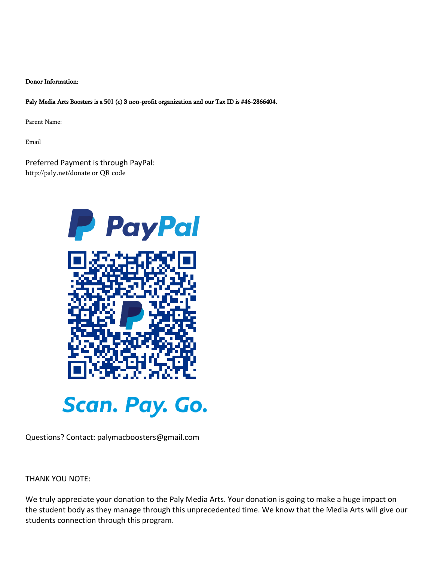#### Donor Information:

Paly Media Arts Boosters is a 501 (c) 3 non-profit organization and our Tax ID is #46-2866404.

Parent Name:

Email

Preferred Payment is through PayPal: http://paly.net/donate or QR code



Questions? Contact: palymacboosters@gmail.com

THANK YOU NOTE:

We truly appreciate your donation to the Paly Media Arts. Your donation is going to make a huge impact on the student body as they manage through this unprecedented time. We know that the Media Arts will give our students connection through this program.